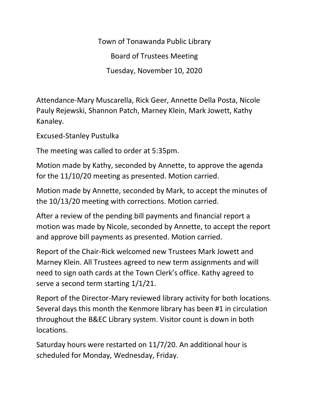Town of Tonawanda Public Library Board of Trustees Meeting Tuesday, November 10, 2020

Attendance-Mary Muscarella, Rick Geer, Annette Della Posta, Nicole Pauly Rejewski, Shannon Patch, Marney Klein, Mark Jowett, Kathy Kanaley.

Excused-Stanley Pustulka

The meeting was called to order at 5:35pm.

Motion made by Kathy, seconded by Annette, to approve the agenda for the 11/10/20 meeting as presented. Motion carried.

Motion made by Annette, seconded by Mark, to accept the minutes of the 10/13/20 meeting with corrections. Motion carried.

After a review of the pending bill payments and financial report a motion was made by Nicole, seconded by Annette, to accept the report and approve bill payments as presented. Motion carried.

Report of the Chair-Rick welcomed new Trustees Mark Jowett and Marney Klein. All Trustees agreed to new term assignments and will need to sign oath cards at the Town Clerk's office. Kathy agreed to serve a second term starting 1/1/21.

Report of the Director-Mary reviewed library activity for both locations. Several days this month the Kenmore library has been #1 in circulation throughout the B&EC Library system. Visitor count is down in both locations.

Saturday hours were restarted on 11/7/20. An additional hour is scheduled for Monday, Wednesday, Friday.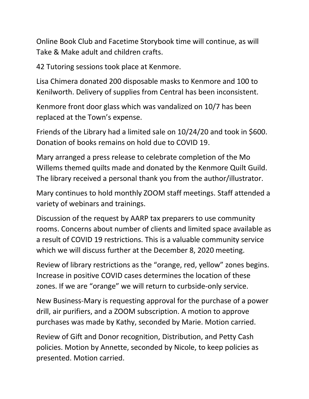Online Book Club and Facetime Storybook time will continue, as will Take & Make adult and children crafts.

42 Tutoring sessions took place at Kenmore.

Lisa Chimera donated 200 disposable masks to Kenmore and 100 to Kenilworth. Delivery of supplies from Central has been inconsistent.

Kenmore front door glass which was vandalized on 10/7 has been replaced at the Town's expense.

Friends of the Library had a limited sale on 10/24/20 and took in \$600. Donation of books remains on hold due to COVID 19.

Mary arranged a press release to celebrate completion of the Mo Willems themed quilts made and donated by the Kenmore Quilt Guild. The library received a personal thank you from the author/illustrator.

Mary continues to hold monthly ZOOM staff meetings. Staff attended a variety of webinars and trainings.

Discussion of the request by AARP tax preparers to use community rooms. Concerns about number of clients and limited space available as a result of COVID 19 restrictions. This is a valuable community service which we will discuss further at the December 8, 2020 meeting.

Review of library restrictions as the "orange, red, yellow" zones begins. Increase in positive COVID cases determines the location of these zones. If we are "orange" we will return to curbside-only service.

New Business-Mary is requesting approval for the purchase of a power drill, air purifiers, and a ZOOM subscription. A motion to approve purchases was made by Kathy, seconded by Marie. Motion carried.

Review of Gift and Donor recognition, Distribution, and Petty Cash policies. Motion by Annette, seconded by Nicole, to keep policies as presented. Motion carried.